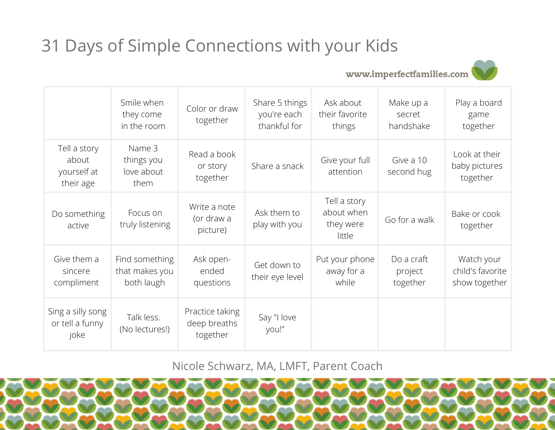## 31 Days of Simple Connections with your Kids

www.imperfectfamilies.com



|                                                   | Smile when<br>they come<br>in the room         | Color or draw<br>together                   | Share 5 things<br>you're each<br>thankful for | Ask about<br>their favorite<br>things             | Make up a<br>secret<br>handshake  | Play a board<br>game<br>together                |
|---------------------------------------------------|------------------------------------------------|---------------------------------------------|-----------------------------------------------|---------------------------------------------------|-----------------------------------|-------------------------------------------------|
| Tell a story<br>about<br>yourself at<br>their age | Name 3<br>things you<br>love about<br>them     | Read a book<br>or story<br>together         | Share a snack                                 | Give your full<br>attention                       | Give a 10<br>second hug           | Look at their<br>baby pictures<br>together      |
| Do something<br>active                            | Focus on<br>truly listening                    | Write a note<br>(or draw a<br>picture)      | Ask them to<br>play with you                  | Tell a story<br>about when<br>they were<br>little | Go for a walk                     | Bake or cook<br>together                        |
| Give them a<br>sincere<br>compliment              | Find something<br>that makes you<br>both laugh | Ask open-<br>ended<br>questions             | Get down to<br>their eye level                | Put your phone<br>away for a<br>while             | Do a craft<br>project<br>together | Watch your<br>child's favorite<br>show together |
| Sing a silly song<br>or tell a funny<br>joke      | Talk less.<br>(No lectures!)                   | Practice taking<br>deep breaths<br>together | Say "I love<br>you!"                          |                                                   |                                   |                                                 |

Nicole Schwarz, MA, LMFT, Parent Coach